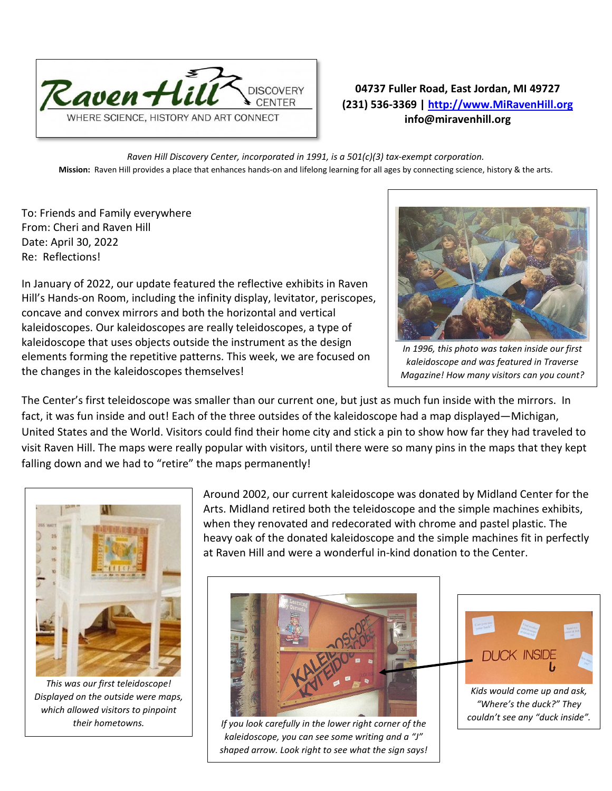

## **04737 Fuller Road, East Jordan, MI 49727 (231) 536-3369 | [http://www.MiRavenHill.org](http://www.miravenhill.org/) info@miravenhill.org**

*Raven Hill Discovery Center, incorporated in 1991, is a 501(c)(3) tax-exempt corporation.* **Mission:** Raven Hill provides a place that enhances hands-on and lifelong learning for all ages by connecting science, history & the arts.

To: Friends and Family everywhere From: Cheri and Raven Hill Date: April 30, 2022 Re: Reflections!

*In 1996, this photo was taken inside our first kaleidoscope and was featured in Traverse Magazine! How many visitors can you count?*

In January of 2022, our update featured the reflective exhibits in Raven Hill's Hands-on Room, including the infinity display, levitator, periscopes, concave and convex mirrors and both the horizontal and vertical kaleidoscopes. Our kaleidoscopes are really teleidoscopes, a type of kaleidoscope that uses objects outside the instrument as the design elements forming the repetitive patterns. This week, we are focused on the changes in the kaleidoscopes themselves!

The Center's first teleidoscope was smaller than our current one, but just as much fun inside with the mirrors. In fact, it was fun inside and out! Each of the three outsides of the kaleidoscope had a map displayed—Michigan, United States and the World. Visitors could find their home city and stick a pin to show how far they had traveled to visit Raven Hill. The maps were really popular with visitors, until there were so many pins in the maps that they kept falling down and we had to "retire" the maps permanently!



*This was our first teleidoscope! Displayed on the outside were maps, which allowed visitors to pinpoint* 

Around 2002, our current kaleidoscope was donated by Midland Center for the Arts. Midland retired both the teleidoscope and the simple machines exhibits, when they renovated and redecorated with chrome and pastel plastic. The heavy oak of the donated kaleidoscope and the simple machines fit in perfectly at Raven Hill and were a wonderful in-kind donation to the Center.



*their hometowns. If you look carefully in the lower right corner of the kaleidoscope, you can see some writing and a "J" shaped arrow. Look right to see what the sign says!*



*"Where's the duck?" They couldn't see any "duck inside".*